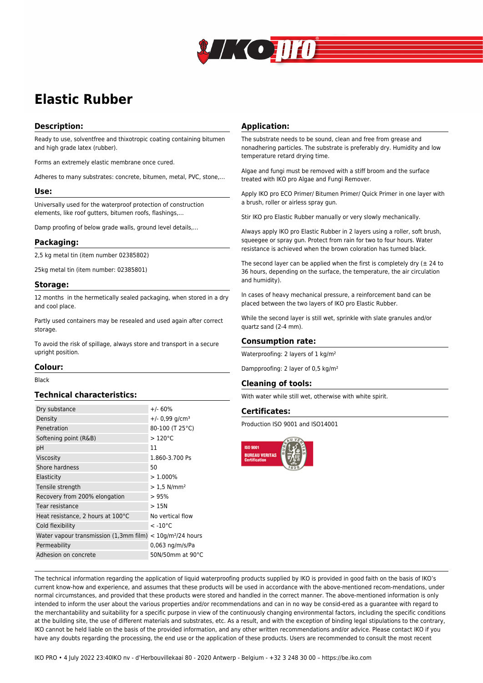

# **Elastic Rubber**

# **Description:**

Ready to use, solventfree and thixotropic coating containing bitumen and high grade latex (rubber).

Forms an extremely elastic membrane once cured.

Adheres to many substrates: concrete, bitumen, metal, PVC, stone,…

#### **Use:**

Universally used for the waterproof protection of construction elements, like roof gutters, bitumen roofs, flashings,…

Damp proofing of below grade walls, ground level details,…

#### **Packaging:**

2,5 kg metal tin (item number 02385802)

25kg metal tin (item number: 02385801)

#### **Storage:**

12 months in the hermetically sealed packaging, when stored in a dry and cool place.

Partly used containers may be resealed and used again after correct storage.

To avoid the risk of spillage, always store and transport in a secure upright position.

## **Colour:**

Black

## **Technical characteristics:**

| $+/- 60%$                                                                  |
|----------------------------------------------------------------------------|
| $+/- 0.99$ g/cm <sup>3</sup>                                               |
| 80-100 (T 25°C)                                                            |
| $>120^{\circ}$ C                                                           |
| 11                                                                         |
| 1.860-3.700 Ps                                                             |
| 50                                                                         |
| $>1.000\%$                                                                 |
| $> 1.5$ N/mm <sup>2</sup>                                                  |
| > 95%                                                                      |
| >15N                                                                       |
| No vertical flow                                                           |
| $<$ -10 $^{\circ}$ C                                                       |
| Water vapour transmission (1,3mm film)<br>$<$ 10g/m <sup>2</sup> /24 hours |
| 0,063 ng/m/s/Pa                                                            |
| 50N/50mm at 90°C                                                           |
|                                                                            |

## **Application:**

The substrate needs to be sound, clean and free from grease and nonadhering particles. The substrate is preferably dry. Humidity and low temperature retard drying time.

Algae and fungi must be removed with a stiff broom and the surface treated with IKO pro Algae and Fungi Remover.

Apply IKO pro ECO Primer/ Bitumen Primer/ Quick Primer in one layer with a brush, roller or airless spray gun.

Stir IKO pro Elastic Rubber manually or very slowly mechanically.

Always apply IKO pro Elastic Rubber in 2 layers using a roller, soft brush, squeegee or spray gun. Protect from rain for two to four hours. Water resistance is achieved when the brown coloration has turned black.

The second layer can be applied when the first is completely dry ( $\pm$  24 to 36 hours, depending on the surface, the temperature, the air circulation and humidity).

In cases of heavy mechanical pressure, a reinforcement band can be placed between the two layers of IKO pro Elastic Rubber.

While the second layer is still wet, sprinkle with slate granules and/or quartz sand (2-4 mm).

## **Consumption rate:**

Waterproofing: 2 layers of 1 kg/m<sup>2</sup>

Dampproofing: 2 layer of 0,5 kg/m²

#### **Cleaning of tools:**

With water while still wet, otherwise with white spirit.

## **Certificates:**

Production ISO 9001 and ISO14001



The technical information regarding the application of liquid waterproofing products supplied by IKO is provided in good faith on the basis of IKO's current know-how and experience, and assumes that these products will be used in accordance with the above-mentioned recom-mendations, under normal circumstances, and provided that these products were stored and handled in the correct manner. The above-mentioned information is only intended to inform the user about the various properties and/or recommendations and can in no way be consid-ered as a guarantee with regard to the merchantability and suitability for a specific purpose in view of the continuously changing environmental factors, including the specific conditions at the building site, the use of different materials and substrates, etc. As a result, and with the exception of binding legal stipulations to the contrary, IKO cannot be held liable on the basis of the provided information, and any other written recommendations and/or advice. Please contact IKO if you have any doubts regarding the processing, the end use or the application of these products. Users are recommended to consult the most recent